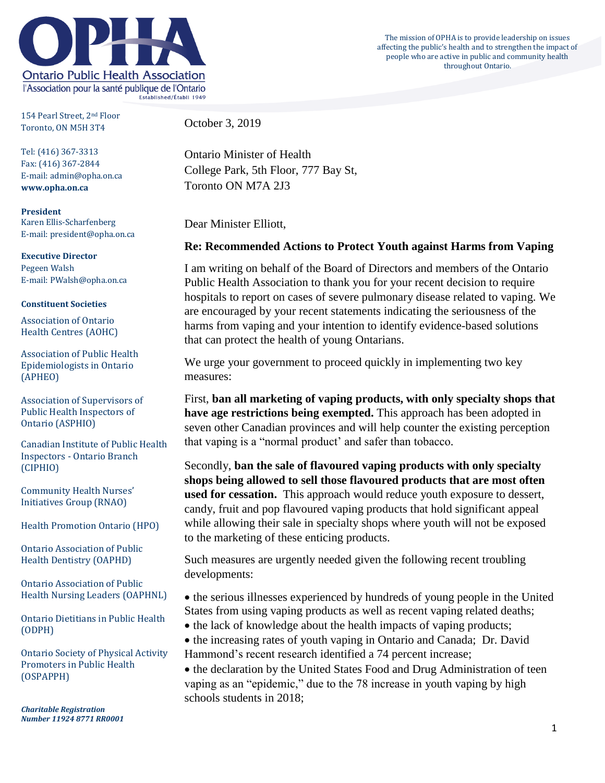

The mission of OPHA is to provide leadership on issues affecting the public's health and to strengthen the impact of people who are active in public and community health throughout Ontario.

154 Pearl Street, 2nd Floor Toronto, ON M5H 3T4

Tel: (416) 367-3313 Fax: (416) 367-2844 E-mail: admin@opha.on.ca **www.opha.on.ca**

**President** Karen Ellis-Scharfenberg E-mail: president@opha.on.ca

## **Executive Director** Pegeen Walsh

E-mail: PWalsh@opha.on.ca

## **Constituent Societies**

Association of Ontario Health Centres (AOHC)

Association of Public Health Epidemiologists in Ontario (APHEO)

Association of Supervisors of Public Health Inspectors of Ontario (ASPHIO)

Canadian Institute of Public Health Inspectors - Ontario Branch (CIPHIO)

Community Health Nurses' Initiatives Group (RNAO)

Health Promotion Ontario (HPO)

Ontario Association of Public Health Dentistry (OAPHD)

Ontario Association of Public Health Nursing Leaders (OAPHNL)

Ontario Dietitians in Public Health (ODPH)

Ontario Society of Physical Activity Promoters in Public Health (OSPAPPH)

*Charitable Registration Number 11924 8771 RR0001* October 3, 2019

Ontario Minister of Health College Park, 5th Floor, 777 Bay St, Toronto ON M7A 2J3

Dear Minister Elliott,

## **Re: Recommended Actions to Protect Youth against Harms from Vaping**

I am writing on behalf of the Board of Directors and members of the Ontario Public Health Association to thank you for your recent decision to require hospitals to report on cases of severe pulmonary disease related to vaping. We are encouraged by your recent statements indicating the seriousness of the harms from vaping and your intention to identify evidence-based solutions that can protect the health of young Ontarians.

We urge your government to proceed quickly in implementing two key measures:

First, **ban all marketing of vaping products, with only specialty shops that have age restrictions being exempted.** This approach has been adopted in seven other Canadian provinces and will help counter the existing perception that vaping is a "normal product' and safer than tobacco.

Secondly, **ban the sale of flavoured vaping products with only specialty shops being allowed to sell those flavoured products that are most often used for cessation.** This approach would reduce youth exposure to dessert, candy, fruit and pop flavoured vaping products that hold significant appeal while allowing their sale in specialty shops where youth will not be exposed to the marketing of these enticing products.

Such measures are urgently needed given the following recent troubling developments:

• the serious illnesses experienced by hundreds of young people in the United States from using vaping products as well as recent vaping related deaths;

- the lack of knowledge about the health impacts of vaping products;
- the increasing rates of youth vaping in Ontario and Canada; Dr. David Hammond's recent research identified a 74 percent increase;

• the declaration by the United States Food and Drug Administration of teen vaping as an "epidemic," due to the 78 increase in youth vaping by high schools students in 2018;